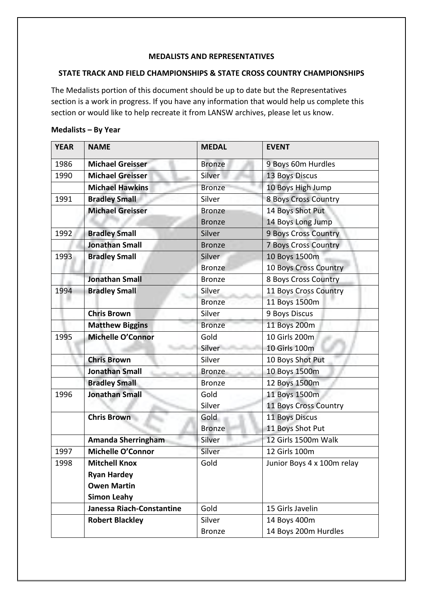## **MEDALISTS AND REPRESENTATIVES**

## **STATE TRACK AND FIELD CHAMPIONSHIPS & STATE CROSS COUNTRY CHAMPIONSHIPS**

The Medalists portion of this document should be up to date but the Representatives section is a work in progress. If you have any information that would help us complete this section or would like to help recreate it from LANSW archives, please let us know.

## **Medalists – By Year**

| <b>YEAR</b> | <b>NAME</b>               | <b>MEDAL</b>  | <b>EVENT</b>                |
|-------------|---------------------------|---------------|-----------------------------|
| 1986        | <b>Michael Greisser</b>   | <b>Bronze</b> | 9 Boys 60m Hurdles          |
| 1990        | <b>Michael Greisser</b>   | Silver        | 13 Boys Discus              |
|             | <b>Michael Hawkins</b>    | <b>Bronze</b> | 10 Boys High Jump           |
| 1991        | <b>Bradley Small</b>      | Silver        | 8 Boys Cross Country        |
|             | <b>Michael Greisser</b>   | <b>Bronze</b> | 14 Boys Shot Put            |
|             |                           | <b>Bronze</b> | 14 Boys Long Jump           |
| 1992        | <b>Bradley Small</b>      | Silver        | <b>9 Boys Cross Country</b> |
|             | <b>Jonathan Small</b>     | <b>Bronze</b> | 7 Boys Cross Country        |
| 1993        | <b>Bradley Small</b>      | Silver        | 10 Boys 1500m               |
|             |                           | <b>Bronze</b> | 10 Boys Cross Country       |
|             | <b>Jonathan Small</b>     | <b>Bronze</b> | 8 Boys Cross Country        |
| 1994        | <b>Bradley Small</b>      | Silver        | 11 Boys Cross Country       |
|             |                           | <b>Bronze</b> | 11 Boys 1500m               |
|             | <b>Chris Brown</b>        | Silver        | 9 Boys Discus               |
|             | <b>Matthew Biggins</b>    | <b>Bronze</b> | 11 Boys 200m                |
| 1995        | <b>Michelle O'Connor</b>  | Gold          | 10 Girls 200m               |
|             |                           | Silver        | 10 Girls 100m               |
|             | <b>Chris Brown</b>        | Silver        | 10 Boys Shot Put            |
|             | <b>Jonathan Small</b>     | <b>Bronze</b> | 10 Boys 1500m               |
|             | <b>Bradley Small</b>      | <b>Bronze</b> | 12 Boys 1500m               |
| 1996        | <b>Jonathan Small</b>     | Gold          | 11 Boys 1500m               |
|             |                           | Silver        | 11 Boys Cross Country       |
|             | <b>Chris Brown</b>        | Gold          | <b>11 Boys Discus</b>       |
|             |                           | <b>Bronze</b> | 11 Boys Shot Put            |
|             | <b>Amanda Sherringham</b> | Silver        | 12 Girls 1500m Walk         |
| 1997        | <b>Michelle O'Connor</b>  | Silver        | 12 Girls 100m               |
| 1998        | <b>Mitchell Knox</b>      | Gold          | Junior Boys 4 x 100m relay  |
|             | <b>Ryan Hardey</b>        |               |                             |
|             | <b>Owen Martin</b>        |               |                             |
|             | <b>Simon Leahy</b>        |               |                             |
|             | Janessa Riach-Constantine | Gold          | 15 Girls Javelin            |
|             | <b>Robert Blackley</b>    | Silver        | 14 Boys 400m                |
|             |                           | <b>Bronze</b> | 14 Boys 200m Hurdles        |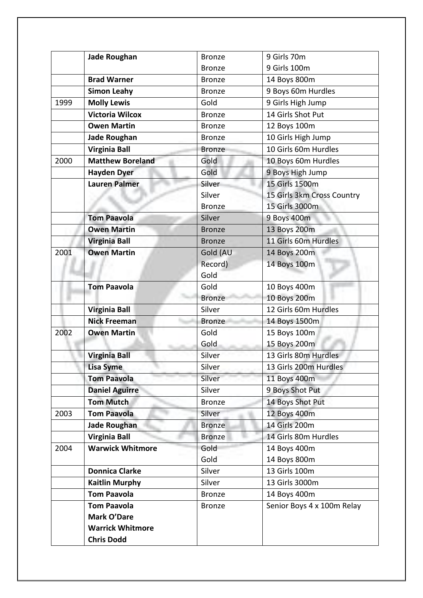|      | <b>Jade Roughan</b>     | <b>Bronze</b> | 9 Girls 70m                |
|------|-------------------------|---------------|----------------------------|
|      |                         | <b>Bronze</b> | 9 Girls 100m               |
|      | <b>Brad Warner</b>      | <b>Bronze</b> | 14 Boys 800m               |
|      | <b>Simon Leahy</b>      | <b>Bronze</b> | 9 Boys 60m Hurdles         |
| 1999 | <b>Molly Lewis</b>      | Gold          | 9 Girls High Jump          |
|      | <b>Victoria Wilcox</b>  | <b>Bronze</b> | 14 Girls Shot Put          |
|      | <b>Owen Martin</b>      | <b>Bronze</b> | 12 Boys 100m               |
|      | <b>Jade Roughan</b>     | <b>Bronze</b> | 10 Girls High Jump         |
|      | <b>Virginia Ball</b>    | <b>Bronze</b> | 10 Girls 60m Hurdles       |
| 2000 | <b>Matthew Boreland</b> | Gold          | 10 Boys 60m Hurdles        |
|      | <b>Hayden Dyer</b>      | Gold          | 9 Boys High Jump           |
|      | <b>Lauren Palmer</b>    | Silver        | 15 Girls 1500m             |
|      |                         | Silver        | 15 Girls 3km Cross Country |
|      |                         | <b>Bronze</b> | 15 Girls 3000m             |
|      | <b>Tom Paavola</b>      | Silver        | 9 Boys 400m                |
|      | <b>Owen Martin</b>      | <b>Bronze</b> | 13 Boys 200m               |
|      | <b>Virginia Ball</b>    | <b>Bronze</b> | 11 Girls 60m Hurdles       |
| 2001 | <b>Owen Martin</b>      | Gold (AU      | 14 Boys 200m               |
|      |                         | Record)       | 14 Boys 100m               |
|      |                         | Gold          |                            |
|      | <b>Tom Paavola</b>      | Gold          | 10 Boys 400m               |
|      |                         | <b>Bronze</b> | 10 Boys 200m               |
|      | <b>Virginia Ball</b>    | Silver        | 12 Girls 60m Hurdles       |
|      | <b>Nick Freeman</b>     | <b>Bronze</b> | 14 Boys 1500m              |
| 2002 | <b>Owen Martin</b>      | Gold          | 15 Boys 100m               |
|      |                         | Gold          | 15 Boys 200m               |
|      | <b>Virginia Ball</b>    | Silver        | 13 Girls 80m Hurdles       |
|      | Lisa Syme               | Silver        | 13 Girls 200m Hurdles      |
|      | <b>Tom Paavola</b>      | Silver        | 11 Boys 400m               |
|      | <b>Daniel Aguirre</b>   | Silver        | 9 Boys Shot Put            |
|      | <b>Tom Mutch</b>        | <b>Bronze</b> | 14 Boys Shot Put           |
| 2003 | <b>Tom Paavola</b>      | Silver        | 12 Boys 400m               |
|      | <b>Jade Roughan</b>     | <b>Bronze</b> | 14 Girls 200m              |
|      | <b>Virginia Ball</b>    | <b>Bronze</b> | 14 Girls 80m Hurdles       |
| 2004 | <b>Warwick Whitmore</b> | Gold          | 14 Boys 400m               |
|      |                         | Gold          | 14 Boys 800m               |
|      | <b>Donnica Clarke</b>   | Silver        | 13 Girls 100m              |
|      | <b>Kaitlin Murphy</b>   | Silver        | 13 Girls 3000m             |
|      | <b>Tom Paavola</b>      | <b>Bronze</b> | 14 Boys 400m               |
|      | <b>Tom Paavola</b>      | <b>Bronze</b> | Senior Boys 4 x 100m Relay |
|      | Mark O'Dare             |               |                            |
|      | <b>Warrick Whitmore</b> |               |                            |
|      | <b>Chris Dodd</b>       |               |                            |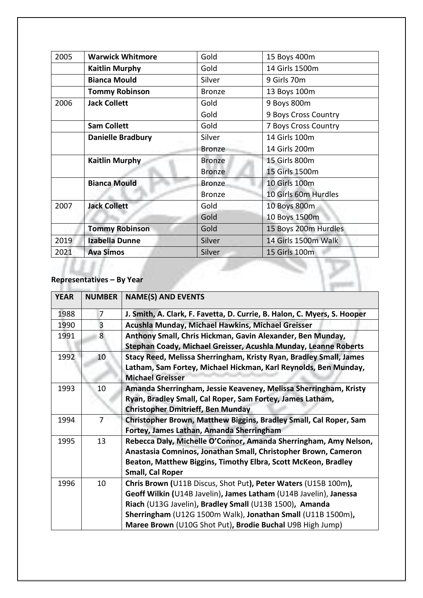| 2005 | <b>Warwick Whitmore</b>  | Gold          | 15 Boys 400m         |
|------|--------------------------|---------------|----------------------|
|      | <b>Kaitlin Murphy</b>    | Gold          | 14 Girls 1500m       |
|      | <b>Bianca Mould</b>      | Silver        | 9 Girls 70m          |
|      | <b>Tommy Robinson</b>    | <b>Bronze</b> | 13 Boys 100m         |
| 2006 | <b>Jack Collett</b>      | Gold          | 9 Boys 800m          |
|      |                          | Gold          | 9 Boys Cross Country |
|      | <b>Sam Collett</b>       | Gold          | 7 Boys Cross Country |
|      | <b>Danielle Bradbury</b> | Silver        | 14 Girls 100m        |
|      |                          | <b>Bronze</b> | 14 Girls 200m        |
|      | <b>Kaitlin Murphy</b>    | <b>Bronze</b> | 15 Girls 800m        |
|      |                          | <b>Bronze</b> | 15 Girls 1500m       |
|      | <b>Bianca Mould</b>      | <b>Bronze</b> | 10 Girls 100m        |
|      |                          | <b>Bronze</b> | 10 Girls 60m Hurdles |
| 2007 | <b>Jack Collett</b>      | Gold          | 10 Boys 800m         |
|      |                          | Gold          | 10 Boys 1500m        |
|      | <b>Tommy Robinson</b>    | Gold          | 15 Boys 200m Hurdles |
| 2019 | Izabella Dunne           | Silver        | 14 Girls 1500m Walk  |
| 2021 | <b>Ava Simos</b>         | Silver        | 15 Girls 100m        |

## **Representatives – By Year**

|             | <b>Representatives - By Year</b> |                                                                                                                                                                                                                                                                                                                            |  |  |
|-------------|----------------------------------|----------------------------------------------------------------------------------------------------------------------------------------------------------------------------------------------------------------------------------------------------------------------------------------------------------------------------|--|--|
| <b>YEAR</b> | <b>NUMBER</b>                    | <b>NAME(S) AND EVENTS</b>                                                                                                                                                                                                                                                                                                  |  |  |
| 1988        | 7                                | J. Smith, A. Clark, F. Favetta, D. Currie, B. Halon, C. Myers, S. Hooper                                                                                                                                                                                                                                                   |  |  |
| 1990        | $\overline{3}$                   | Acushla Munday, Michael Hawkins, Michael Greisser                                                                                                                                                                                                                                                                          |  |  |
| 1991        | 8                                | Anthony Small, Chris Hickman, Gavin Alexander, Ben Munday,<br>Stephan Coady, Michael Greisser, Acushla Munday, Leanne Roberts                                                                                                                                                                                              |  |  |
| 1992        | 10                               | Stacy Reed, Melissa Sherringham, Kristy Ryan, Bradley Small, James<br>Latham, Sam Fortey, Michael Hickman, Karl Reynolds, Ben Munday,<br><b>Michael Greisser</b>                                                                                                                                                           |  |  |
| 1993        | 10                               | Amanda Sherringham, Jessie Keaveney, Melissa Sherringham, Kristy<br>Ryan, Bradley Small, Cal Roper, Sam Fortey, James Latham,<br><b>Christopher Dmitrieff, Ben Munday</b>                                                                                                                                                  |  |  |
| 1994        | $\overline{7}$                   | Christopher Brown, Matthew Biggins, Bradley Small, Cal Roper, Sam<br>Fortey, James Lathan, Amanda Sherringham                                                                                                                                                                                                              |  |  |
| 1995        | 13                               | Rebecca Daly, Michelle O'Connor, Amanda Sherringham, Amy Nelson,<br>Anastasia Comninos, Jonathan Small, Christopher Brown, Cameron<br>Beaton, Matthew Biggins, Timothy Elbra, Scott McKeon, Bradley<br><b>Small, Cal Roper</b>                                                                                             |  |  |
| 1996        | 10                               | Chris Brown (U11B Discus, Shot Put), Peter Waters (U15B 100m),<br>Geoff Wilkin (U14B Javelin), James Latham (U14B Javelin), Janessa<br>Riach (U13G Javelin), Bradley Small (U13B 1500), Amanda<br>Sherringham (U12G 1500m Walk), Jonathan Small (U11B 1500m),<br>Maree Brown (U10G Shot Put), Brodie Buchal U9B High Jump) |  |  |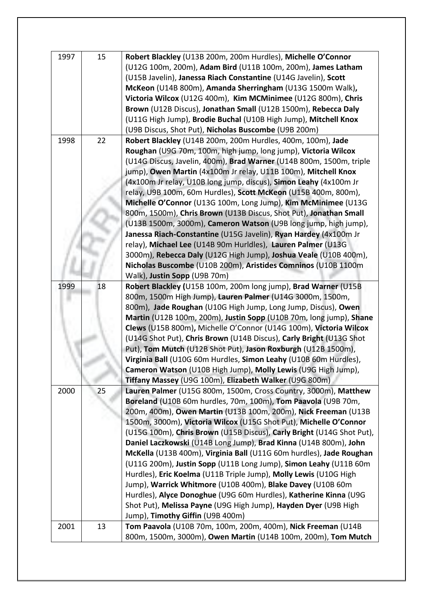| 1997 | 15 | Robert Blackley (U13B 200m, 200m Hurdles), Michelle O'Connor<br>(U12G 100m, 200m), Adam Bird (U11B 100m, 200m), James Latham<br>(U15B Javelin), Janessa Riach Constantine (U14G Javelin), Scott<br>McKeon (U14B 800m), Amanda Sherringham (U13G 1500m Walk),<br>Victoria Wilcox (U12G 400m), Kim MCMinimee (U12G 800m), Chris<br>Brown (U12B Discus), Jonathan Small (U12B 1500m), Rebecca Daly<br>(U11G High Jump), Brodie Buchal (U10B High Jump), Mitchell Knox<br>(U9B Discus, Shot Put), Nicholas Buscombe (U9B 200m)                                                                                                                                                                                                                                                                                                                                                                      |
|------|----|-------------------------------------------------------------------------------------------------------------------------------------------------------------------------------------------------------------------------------------------------------------------------------------------------------------------------------------------------------------------------------------------------------------------------------------------------------------------------------------------------------------------------------------------------------------------------------------------------------------------------------------------------------------------------------------------------------------------------------------------------------------------------------------------------------------------------------------------------------------------------------------------------|
| 1998 | 22 | Robert Blackley (U14B 200m, 200m Hurdles, 400m, 100m), Jade<br>Roughan (U9G 70m, 100m, high jump, long jump), Victoria Wilcox<br>(U14G Discus, Javelin, 400m), Brad Warner (U14B 800m, 1500m, triple<br>jump), Owen Martin (4x100m Jr relay, U11B 100m), Mitchell Knox<br>(4x100m Jr relay, U10B long jump, discus), Simon Leahy (4x100m Jr<br>relay, U9B 100m, 60m Hurdles), Scott McKeon (U15B 400m, 800m),<br>Michelle O'Connor (U13G 100m, Long Jump), Kim McMinimee (U13G<br>800m, 1500m), Chris Brown (U13B Discus, Shot Put), Jonathan Small<br>(U13B 1500m, 3000m), Cameron Watson (U9B long jump, high jump),<br>Janessa Riach-Constantine (U15G Javelin), Ryan Hardey (4x100m Jr<br>relay), Michael Lee (U14B 90m Hurldles), Lauren Palmer (U13G<br>3000m), Rebecca Daly (U12G High Jump), Joshua Veale (U10B 400m),<br>Nicholas Buscombe (U10B 200m), Aristides Comninos (U10B 1100m |
| 1999 | 18 | Walk), Justin Sopp (U9B 70m)<br>Robert Blackley (U15B 100m, 200m long jump), Brad Warner (U15B<br>800m, 1500m High Jump), Lauren Palmer (U14G 3000m, 1500m,<br>800m), Jade Roughan (U10G High Jump, Long Jump, Discus), Owen<br>Martin (U12B 100m, 200m), Justin Sopp (U10B 70m, long jump), Shane<br>Clews (U15B 800m), Michelle O'Connor (U14G 100m), Victoria Wilcox<br>(U14G Shot Put), Chris Brown (U14B Discus), Carly Bright (U13G Shot<br>Put), Tom Mutch (U12B Shot Put), Jason Roxburgh (U12B 1500m),<br>Virginia Ball (U10G 60m Hurdles, Simon Leahy (U10B 60m Hurdles),<br>Cameron Watson (U10B High Jump), Molly Lewis (U9G High Jump),<br>Tiffany Massey (U9G 100m), Elizabeth Walker (U9G 800m)                                                                                                                                                                                  |
| 2000 | 25 | Lauren Palmer (U15G 800m, 1500m, Cross Country, 3000m), Matthew<br>Boreland (U10B 60m hurdles, 70m, 100m), Tom Paavola (U9B 70m,<br>200m, 400m), Owen Martin (U13B 100m, 200m), Nick Freeman (U13B<br>1500m, 3000m), Victoria Wilcox (U15G Shot Put), Michelle O'Connor<br>(U15G 100m), Chris Brown (U15B Discus), Carly Bright (U14G Shot Put),<br>Daniel Laczkowski (U14B Long Jump), Brad Kinna (U14B 800m), John<br>McKella (U13B 400m), Virginia Ball (U11G 60m hurdles), Jade Roughan<br>(U11G 200m), Justin Sopp (U11B Long Jump), Simon Leahy (U11B 60m<br>Hurdles), Eric Koelma (U11B Triple Jump), Molly Lewis (U10G High<br>Jump), Warrick Whitmore (U10B 400m), Blake Davey (U10B 60m<br>Hurdles), Alyce Donoghue (U9G 60m Hurdles), Katherine Kinna (U9G<br>Shot Put), Melissa Payne (U9G High Jump), Hayden Dyer (U9B High<br>Jump), Timothy Giffin (U9B 400m)                    |
| 2001 | 13 | Tom Paavola (U10B 70m, 100m, 200m, 400m), Nick Freeman (U14B<br>800m, 1500m, 3000m), Owen Martin (U14B 100m, 200m), Tom Mutch                                                                                                                                                                                                                                                                                                                                                                                                                                                                                                                                                                                                                                                                                                                                                                   |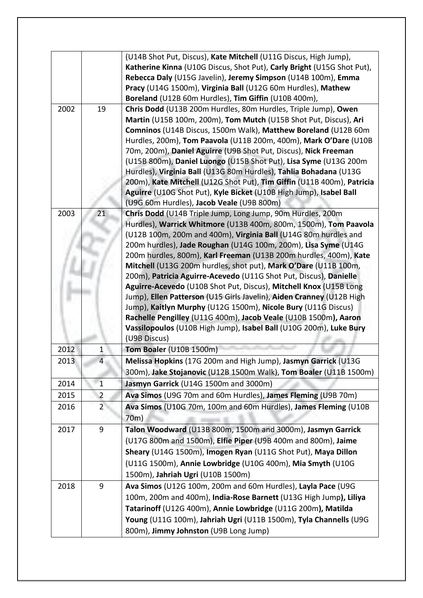|      |                | (U14B Shot Put, Discus), Kate Mitchell (U11G Discus, High Jump),<br>Katherine Kinna (U10G Discus, Shot Put), Carly Bright (U15G Shot Put),<br>Rebecca Daly (U15G Javelin), Jeremy Simpson (U14B 100m), Emma<br>Pracy (U14G 1500m), Virginia Ball (U12G 60m Hurdles), Mathew<br>Boreland (U12B 60m Hurdles), Tim Giffin (U10B 400m),                                                                                                                                                                                                                                                                                                                                                                                                                                                                                                                     |
|------|----------------|---------------------------------------------------------------------------------------------------------------------------------------------------------------------------------------------------------------------------------------------------------------------------------------------------------------------------------------------------------------------------------------------------------------------------------------------------------------------------------------------------------------------------------------------------------------------------------------------------------------------------------------------------------------------------------------------------------------------------------------------------------------------------------------------------------------------------------------------------------|
| 2002 | 19             | Chris Dodd (U13B 200m Hurdles, 80m Hurdles, Triple Jump), Owen<br>Martin (U15B 100m, 200m), Tom Mutch (U15B Shot Put, Discus), Ari<br>Comninos (U14B Discus, 1500m Walk), Matthew Boreland (U12B 60m<br>Hurdles, 200m), Tom Paavola (U11B 200m, 400m), Mark O'Dare (U10B<br>70m, 200m), Daniel Aguirre (U9B Shot Put, Discus), Nick Freeman<br>(U15B 800m), Daniel Luongo (U15B Shot Put), Lisa Syme (U13G 200m<br>Hurdles), Virginia Ball (U13G 80m Hurdles), Tahlia Bohadana (U13G<br>200m), Kate Mitchell (U12G Shot Put), Tim Giffin (U11B 400m), Patricia<br>Aguirre (U10G Shot Put), Kyle Bicket (U10B High Jump), Isabel Ball<br>(U9G 60m Hurdles), Jacob Veale (U9B 800m)                                                                                                                                                                       |
| 2003 | 21             | Chris Dodd (U14B Triple Jump, Long Jump, 90m Hurdles, 200m<br>Hurdles), Warrick Whitmore (U13B 400m, 800m, 1500m), Tom Paavola<br>(U12B 100m, 200m and 400m), Virginia Ball (U14G 80m hurdles and<br>200m hurdles), Jade Roughan (U14G 100m, 200m), Lisa Syme (U14G<br>200m hurdles, 800m), Karl Freeman (U13B 200m hurdles, 400m), Kate<br>Mitchell (U13G 200m hurdles, shot put), Mark O'Dare (U11B 100m,<br>200m), Patricia Aguirre-Acevedo (U11G Shot Put, Discus), Danielle<br>Aguirre-Acevedo (U10B Shot Put, Discus), Mitchell Knox (U15B Long<br>Jump), Ellen Patterson (U15 Girls Javelin), Aiden Cranney (U12B High<br>Jump), Kaitlyn Murphy (U12G 1500m), Nicole Bury (U11G Discus)<br>Rachelle Pengilley (U11G 400m), Jacob Veale (U10B 1500m), Aaron<br>Vassilopoulos (U10B High Jump), Isabel Ball (U10G 200m), Luke Bury<br>(U9B Discus) |
| 2012 | $\mathbf{1}$   | Tom Boaler (U10B 1500m)                                                                                                                                                                                                                                                                                                                                                                                                                                                                                                                                                                                                                                                                                                                                                                                                                                 |
| 2013 | $\overline{4}$ | Melissa Hopkins (17G 200m and High Jump), Jasmyn Garrick (U13G<br>300m), Jake Stojanovic (U12B 1500m Walk), Tom Boaler (U11B 1500m)                                                                                                                                                                                                                                                                                                                                                                                                                                                                                                                                                                                                                                                                                                                     |
| 2014 | $\mathbf{1}$   | Jasmyn Garrick (U14G 1500m and 3000m)                                                                                                                                                                                                                                                                                                                                                                                                                                                                                                                                                                                                                                                                                                                                                                                                                   |
| 2015 | $\overline{2}$ | Ava Simos (U9G 70m and 60m Hurdles), James Fleming (U9B 70m)                                                                                                                                                                                                                                                                                                                                                                                                                                                                                                                                                                                                                                                                                                                                                                                            |
| 2016 | $\overline{2}$ | Ava Simos (U10G 70m, 100m and 60m Hurdles), James Fleming (U10B<br>70m)                                                                                                                                                                                                                                                                                                                                                                                                                                                                                                                                                                                                                                                                                                                                                                                 |
| 2017 | 9              | Talon Woodward (U13B 800m, 1500m and 3000m), Jasmyn Garrick<br>(U17G 800m and 1500m), Elfie Piper (U9B 400m and 800m), Jaime<br>Sheary (U14G 1500m), Imogen Ryan (U11G Shot Put), Maya Dillon<br>(U11G 1500m), Annie Lowbridge (U10G 400m), Mia Smyth (U10G<br>1500m), Jahriah Ugri (U10B 1500m)                                                                                                                                                                                                                                                                                                                                                                                                                                                                                                                                                        |
| 2018 | 9              | Ava Simos (U12G 100m, 200m and 60m Hurdles), Layla Pace (U9G<br>100m, 200m and 400m), India-Rose Barnett (U13G High Jump), Liliya<br>Tatarinoff (U12G 400m), Annie Lowbridge (U11G 200m), Matilda<br>Young (U11G 100m), Jahriah Ugri (U11B 1500m), Tyla Channells (U9G<br>800m), Jimmy Johnston (U9B Long Jump)                                                                                                                                                                                                                                                                                                                                                                                                                                                                                                                                         |